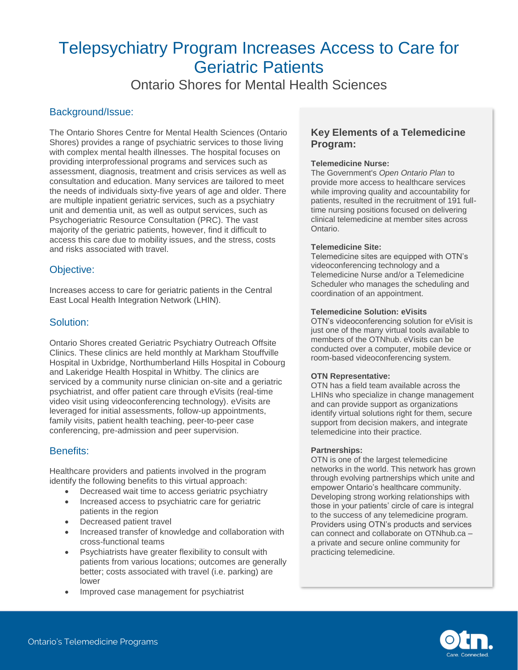Ontario Shores for Mental Health Sciences

### Background/Issue:

The Ontario Shores Centre for Mental Health Sciences (Ontario Shores) provides a range of psychiatric services to those living with complex mental health illnesses. The hospital focuses on providing interprofessional programs and services such as assessment, diagnosis, treatment and crisis services as well as consultation and education. Many services are tailored to meet the needs of individuals sixty-five years of age and older. There are multiple inpatient geriatric services, such as a psychiatry unit and dementia unit, as well as output services, such as Psychogeriatric Resource Consultation (PRC). The vast majority of the geriatric patients, however, find it difficult to access this care due to mobility issues, and the stress, costs and risks associated with travel.

# Objective:

Increases access to care for geriatric patients in the Central East Local Health Integration Network (LHIN).

### Solution:

Ontario Shores created Geriatric Psychiatry Outreach Offsite Clinics. These clinics are held monthly at Markham Stouffville Hospital in Uxbridge, Northumberland Hills Hospital in Cobourg and Lakeridge Health Hospital in Whitby. The clinics are serviced by a community nurse clinician on-site and a geriatric psychiatrist, and offer patient care through eVisits (real-time video visit using videoconferencing technology). eVisits are leveraged for initial assessments, follow-up appointments, family visits, patient health teaching, peer-to-peer case conferencing, pre-admission and peer supervision.

### Benefits:

Healthcare providers and patients involved in the program identify the following benefits to this virtual approach:

- Decreased wait time to access geriatric psychiatry
- Increased access to psychiatric care for geriatric patients in the region
- Decreased patient travel
- Increased transfer of knowledge and collaboration with cross-functional teams
- Psychiatrists have greater flexibility to consult with patients from various locations; outcomes are generally better; costs associated with travel (i.e. parking) are lower
- Improved case management for psychiatrist

# **Key Elements of a Telemedicine Program:**

#### **Telemedicine Nurse:**

The Government's *Open Ontario Plan* to provide more access to healthcare services while improving quality and accountability for patients, resulted in the recruitment of 191 fulltime nursing positions focused on delivering clinical telemedicine at member sites across Ontario.

#### **Telemedicine Site:**

Telemedicine sites are equipped with OTN's videoconferencing technology and a Telemedicine Nurse and/or a Telemedicine Scheduler who manages the scheduling and coordination of an appointment.

#### **Telemedicine Solution: eVisits**

OTN's videoconferencing solution for eVisit is just one of the many virtual tools available to members of the OTNhub. eVisits can be conducted over a computer, mobile device or room-based videoconferencing system.

#### **OTN Representative:**

OTN has a field team available across the LHINs who specialize in change management and can provide support as organizations identify virtual solutions right for them, secure support from decision makers, and integrate telemedicine into their practice.

#### **Partnerships:**

OTN is one of the largest telemedicine networks in the world. This network has grown through evolving partnerships which unite and empower Ontario's healthcare community. Developing strong working relationships with those in your patients' circle of care is integral to the success of any telemedicine program. Providers using OTN's products and services can connect and collaborate on OTNhub.ca – a private and secure online community for practicing telemedicine.

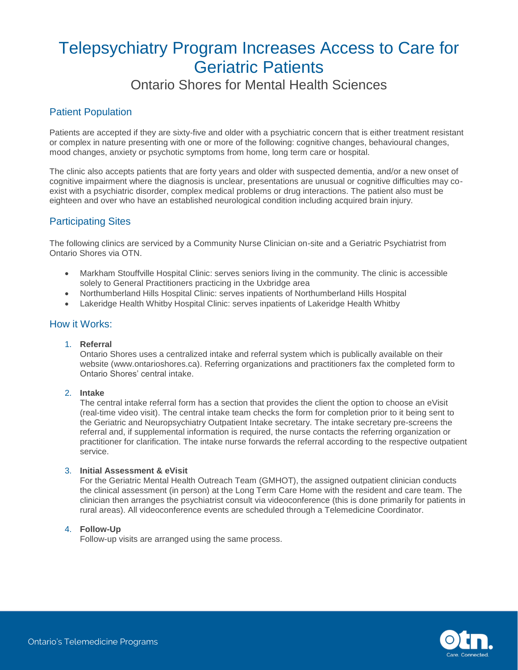# Ontario Shores for Mental Health Sciences

# Patient Population

Patients are accepted if they are sixty-five and older with a psychiatric concern that is either treatment resistant or complex in nature presenting with one or more of the following: cognitive changes, behavioural changes, mood changes, anxiety or psychotic symptoms from home, long term care or hospital.

The clinic also accepts patients that are forty years and older with suspected dementia, and/or a new onset of cognitive impairment where the diagnosis is unclear, presentations are unusual or cognitive difficulties may coexist with a psychiatric disorder, complex medical problems or drug interactions. The patient also must be eighteen and over who have an established neurological condition including acquired brain injury.

# Participating Sites

The following clinics are serviced by a Community Nurse Clinician on-site and a Geriatric Psychiatrist from Ontario Shores via OTN.

- Markham Stouffville Hospital Clinic: serves seniors living in the community. The clinic is accessible solely to General Practitioners practicing in the Uxbridge area
- Northumberland Hills Hospital Clinic: serves inpatients of Northumberland Hills Hospital
- Lakeridge Health Whitby Hospital Clinic: serves inpatients of Lakeridge Health Whitby

#### How it Works:

1. **Referral**

Ontario Shores uses a centralized intake and referral system which is publically available on their website (www.ontarioshores.ca). Referring organizations and practitioners fax the completed form to Ontario Shores' central intake.

#### 2. **Intake**

The central intake referral form has a section that provides the client the option to choose an eVisit (real-time video visit). The central intake team checks the form for completion prior to it being sent to the Geriatric and Neuropsychiatry Outpatient Intake secretary. The intake secretary pre-screens the referral and, if supplemental information is required, the nurse contacts the referring organization or practitioner for clarification. The intake nurse forwards the referral according to the respective outpatient service.

#### 3. **Initial Assessment & eVisit**

For the Geriatric Mental Health Outreach Team (GMHOT), the assigned outpatient clinician conducts the clinical assessment (in person) at the Long Term Care Home with the resident and care team. The clinician then arranges the psychiatrist consult via videoconference (this is done primarily for patients in rural areas). All videoconference events are scheduled through a Telemedicine Coordinator.

#### 4. **Follow-Up**

Follow-up visits are arranged using the same process.

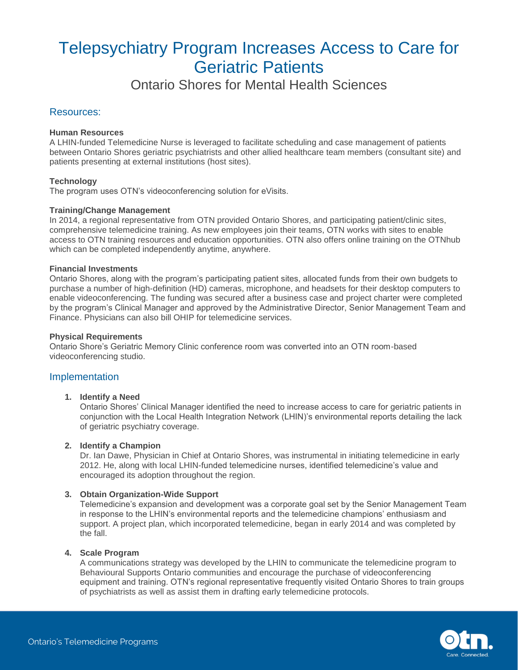Ontario Shores for Mental Health Sciences

### Resources:

#### **Human Resources**

A LHIN-funded Telemedicine Nurse is leveraged to facilitate scheduling and case management of patients between Ontario Shores geriatric psychiatrists and other allied healthcare team members (consultant site) and patients presenting at external institutions (host sites).

#### **Technology**

The program uses OTN's videoconferencing solution for eVisits.

#### **Training/Change Management**

In 2014, a regional representative from OTN provided Ontario Shores, and participating patient/clinic sites, comprehensive telemedicine training. As new employees join their teams, OTN works with sites to enable access to OTN training resources and education opportunities. OTN also offers online training on the OTNhub which can be completed independently anytime, anywhere.

#### **Financial Investments**

Ontario Shores, along with the program's participating patient sites, allocated funds from their own budgets to purchase a number of high-definition (HD) cameras, microphone, and headsets for their desktop computers to enable videoconferencing. The funding was secured after a business case and project charter were completed by the program's Clinical Manager and approved by the Administrative Director, Senior Management Team and Finance. Physicians can also bill OHIP for telemedicine services.

#### **Physical Requirements**

Ontario Shore's Geriatric Memory Clinic conference room was converted into an OTN room-based videoconferencing studio.

#### Implementation

#### **1. Identify a Need**

Ontario Shores' Clinical Manager identified the need to increase access to care for geriatric patients in conjunction with the Local Health Integration Network (LHIN)'s environmental reports detailing the lack of geriatric psychiatry coverage.

#### **2. Identify a Champion**

Dr. Ian Dawe, Physician in Chief at Ontario Shores, was instrumental in initiating telemedicine in early 2012. He, along with local LHIN-funded telemedicine nurses, identified telemedicine's value and encouraged its adoption throughout the region.

#### **3. Obtain Organization-Wide Support**

Telemedicine's expansion and development was a corporate goal set by the Senior Management Team in response to the LHIN's environmental reports and the telemedicine champions' enthusiasm and support. A project plan, which incorporated telemedicine, began in early 2014 and was completed by the fall.

#### **4. Scale Program**

A communications strategy was developed by the LHIN to communicate the telemedicine program to Behavioural Supports Ontario communities and encourage the purchase of videoconferencing equipment and training. OTN's regional representative frequently visited Ontario Shores to train groups of psychiatrists as well as assist them in drafting early telemedicine protocols.